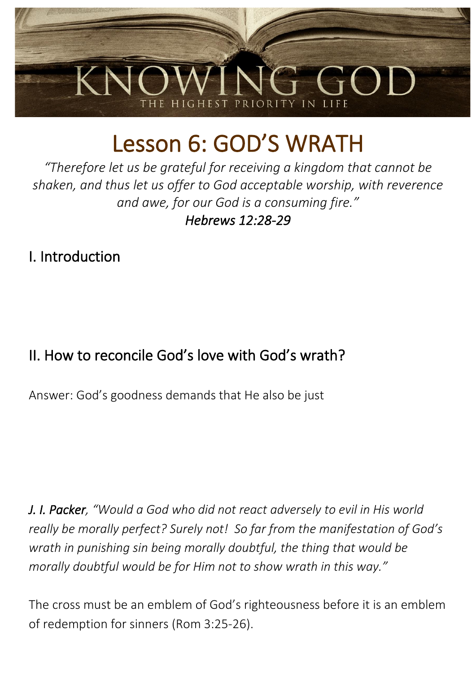

# Lesson 6: GOD'S WRATH

*"Therefore let us be grateful for receiving a kingdom that cannot be shaken, and thus let us offer to God acceptable worship, with reverence and awe, for our God is a consuming fire." Hebrews 12:28-29* 

## I. Introduction

# II. How to reconcile God's love with God's wrath?

Answer: God's goodness demands that He also be just

*J. I. Packer, "Would a God who did not react adversely to evil in His world really be morally perfect? Surely not! So far from the manifestation of God's wrath in punishing sin being morally doubtful, the thing that would be morally doubtful would be for Him not to show wrath in this way."*

The cross must be an emblem of God's righteousness before it is an emblem of redemption for sinners (Rom 3:25-26).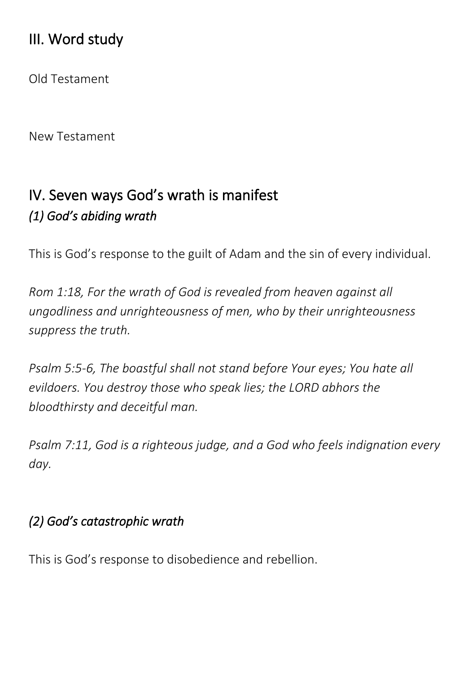## III. Word study

Old Testament

New Testament

# IV. Seven ways God's wrath is manifest *(1) God's abiding wrath*

This is God's response to the guilt of Adam and the sin of every individual.

*Rom 1:18, For the wrath of God is revealed from heaven against all ungodliness and unrighteousness of men, who by their unrighteousness suppress the truth.*

*Psalm 5:5-6, The boastful shall not stand before Your eyes; You hate all evildoers. You destroy those who speak lies; the LORD abhors the bloodthirsty and deceitful man.*

*Psalm 7:11, God is a righteous judge, and a God who feels indignation every day.*

#### *(2) God's catastrophic wrath*

This is God's response to disobedience and rebellion.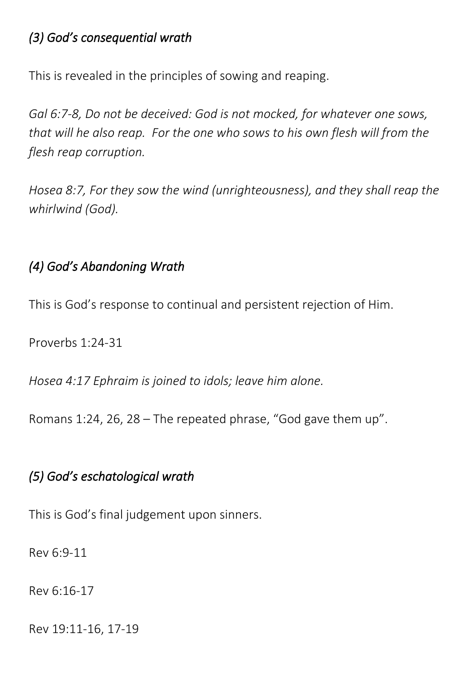#### *(3) God's consequential wrath*

This is revealed in the principles of sowing and reaping.

*Gal 6:7-8, Do not be deceived: God is not mocked, for whatever one sows, that will he also reap. For the one who sows to his own flesh will from the flesh reap corruption.*

*Hosea 8:7, For they sow the wind (unrighteousness), and they shall reap the whirlwind (God).*

#### *(4) God's Abandoning Wrath*

This is God's response to continual and persistent rejection of Him.

Proverbs 1:24-31

*Hosea 4:17 Ephraim is joined to idols; leave him alone.*

Romans 1:24, 26, 28 – The repeated phrase, "God gave them up".

## *(5) God's eschatological wrath*

This is God's final judgement upon sinners.

Rev 6:9-11

Rev 6:16-17

Rev 19:11-16, 17-19